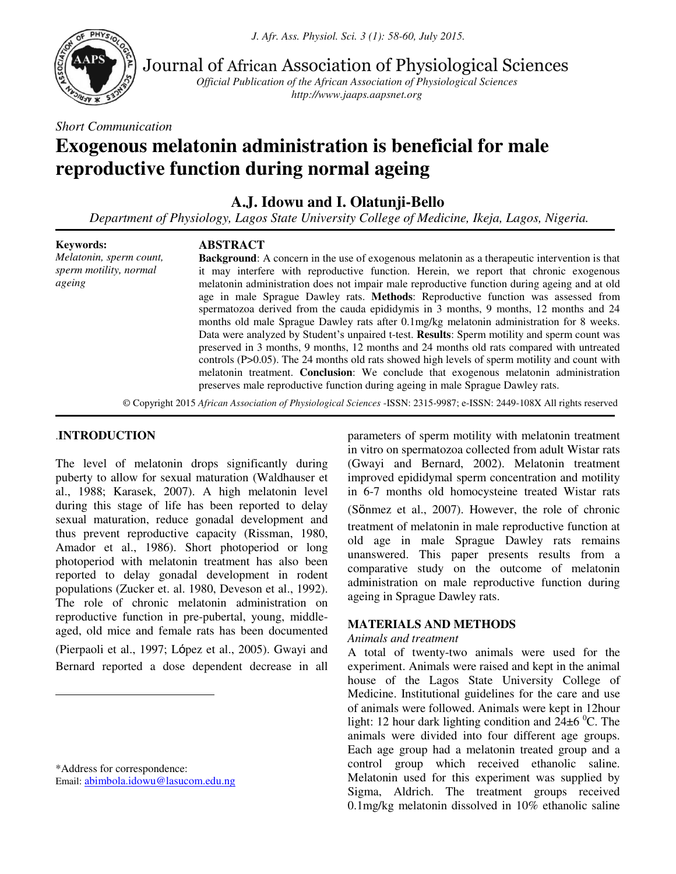*J. Afr. Ass. Physiol. Sci. 3 (1): 58-60, July 2015.* 



Journal of African Association of Physiological Sciences

*Official Publication of the African Association of Physiological Sciences http://www.jaaps.aapsnet.org*

*Short Communication* 

# **Exogenous melatonin administration is beneficial for male reproductive function during normal ageing**

**A.J. Idowu and I. Olatunji-Bello** 

*Department of Physiology, Lagos State University College of Medicine, Ikeja, Lagos, Nigeria.*

**Keywords:** *Melatonin, sperm count, sperm motility, normal ageing*

# **ABSTRACT**

**Background**: A concern in the use of exogenous melatonin as a therapeutic intervention is that it may interfere with reproductive function. Herein, we report that chronic exogenous melatonin administration does not impair male reproductive function during ageing and at old age in male Sprague Dawley rats. **Methods**: Reproductive function was assessed from spermatozoa derived from the cauda epididymis in 3 months, 9 months, 12 months and 24 months old male Sprague Dawley rats after 0.1mg/kg melatonin administration for 8 weeks. Data were analyzed by Student's unpaired t-test. **Results**: Sperm motility and sperm count was preserved in 3 months, 9 months, 12 months and 24 months old rats compared with untreated controls (P>0.05). The 24 months old rats showed high levels of sperm motility and count with melatonin treatment. **Conclusion**: We conclude that exogenous melatonin administration preserves male reproductive function during ageing in male Sprague Dawley rats.

© Copyright 2015 *African Association of Physiological Sciences* -ISSN: 2315-9987; e-ISSN: 2449-108X All rights reserved

# .**INTRODUCTION**

 $\overline{a}$ 

The level of melatonin drops significantly during puberty to allow for sexual maturation (Waldhauser et al., 1988; Karasek, 2007). A high melatonin level during this stage of life has been reported to delay sexual maturation, reduce gonadal development and thus prevent reproductive capacity (Rissman, 1980, Amador et al., 1986). Short photoperiod or long photoperiod with melatonin treatment has also been reported to delay gonadal development in rodent populations (Zucker et. al. 1980, Deveson et al., 1992). The role of chronic melatonin administration on reproductive function in pre-pubertal, young, middleaged, old mice and female rats has been documented (Pierpaoli et al., 1997; López et al., 2005). Gwayi and Bernard reported a dose dependent decrease in all

\*Address for correspondence: Email: [abimbola.idowu@lasucom.edu.ng](mailto:abimbola.idowu@lasucom.edu.ng) parameters of sperm motility with melatonin treatment in vitro on spermatozoa collected from adult Wistar rats (Gwayi and Bernard, 2002). Melatonin treatment improved epididymal sperm concentration and motility in 6-7 months old homocysteine treated Wistar rats (Sönmez et al., 2007). However, the role of chronic treatment of melatonin in male reproductive function at old age in male Sprague Dawley rats remains unanswered. This paper presents results from a comparative study on the outcome of melatonin administration on male reproductive function during ageing in Sprague Dawley rats.

# **MATERIALS AND METHODS**

# *Animals and treatment*

A total of twenty-two animals were used for the experiment. Animals were raised and kept in the animal house of the Lagos State University College of Medicine. Institutional guidelines for the care and use of animals were followed. Animals were kept in 12hour light: 12 hour dark lighting condition and  $24\pm6$  °C. The animals were divided into four different age groups. Each age group had a melatonin treated group and a control group which received ethanolic saline. Melatonin used for this experiment was supplied by Sigma, Aldrich. The treatment groups received 0.1mg/kg melatonin dissolved in 10% ethanolic saline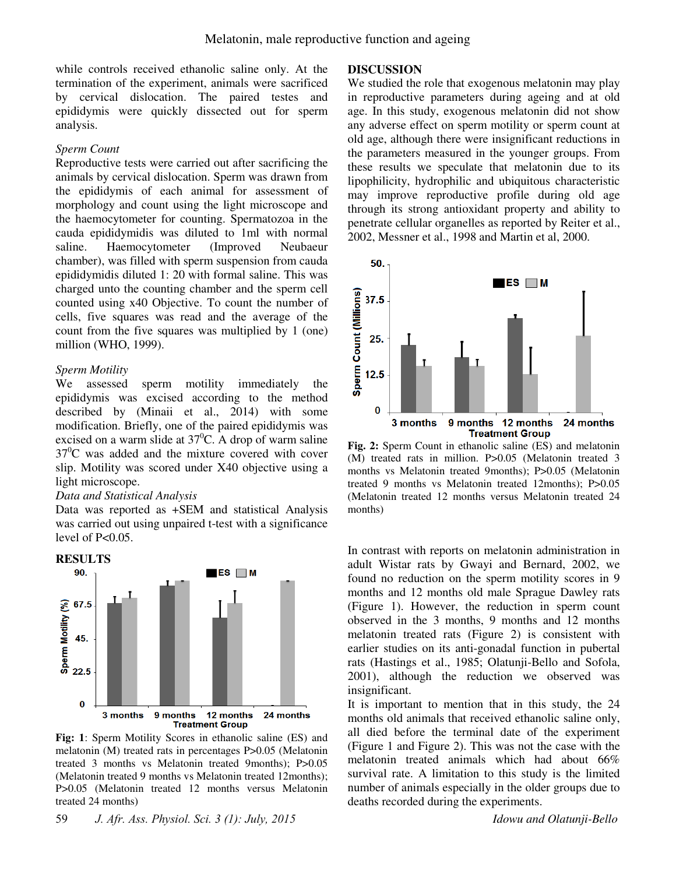while controls received ethanolic saline only. At the termination of the experiment, animals were sacrificed by cervical dislocation. The paired testes and epididymis were quickly dissected out for sperm analysis.

#### *Sperm Count*

Reproductive tests were carried out after sacrificing the animals by cervical dislocation. Sperm was drawn from the epididymis of each animal for assessment of morphology and count using the light microscope and the haemocytometer for counting. Spermatozoa in the cauda epididymidis was diluted to 1ml with normal saline. Haemocytometer (Improved Neubaeur chamber), was filled with sperm suspension from cauda epididymidis diluted 1: 20 with formal saline. This was charged unto the counting chamber and the sperm cell counted using x40 Objective. To count the number of cells, five squares was read and the average of the count from the five squares was multiplied by 1 (one) million (WHO, 1999).

#### *Sperm Motility*

We assessed sperm motility immediately the epididymis was excised according to the method described by (Minaii et al., 2014) with some modification. Briefly, one of the paired epididymis was excised on a warm slide at  $37^{\circ}$ C. A drop of warm saline  $37^{\circ}$ C was added and the mixture covered with cover slip. Motility was scored under X40 objective using a light microscope.

# *Data and Statistical Analysis*

Data was reported as +SEM and statistical Analysis was carried out using unpaired t-test with a significance level of P<0.05.



**Fig: 1**: Sperm Motility Scores in ethanolic saline (ES) and melatonin (M) treated rats in percentages P>0.05 (Melatonin treated 3 months vs Melatonin treated 9months); P>0.05 (Melatonin treated 9 months vs Melatonin treated 12months); P>0.05 (Melatonin treated 12 months versus Melatonin treated 24 months)

#### **DISCUSSION**

We studied the role that exogenous melatonin may play in reproductive parameters during ageing and at old age. In this study, exogenous melatonin did not show any adverse effect on sperm motility or sperm count at old age, although there were insignificant reductions in the parameters measured in the younger groups. From these results we speculate that melatonin due to its lipophilicity, hydrophilic and ubiquitous characteristic may improve reproductive profile during old age through its strong antioxidant property and ability to penetrate cellular organelles as reported by Reiter et al., 2002, Messner et al., 1998 and Martin et al, 2000.



**Fig. 2:** Sperm Count in ethanolic saline (ES) and melatonin (M) treated rats in million. P>0.05 (Melatonin treated 3 months vs Melatonin treated 9months); P>0.05 (Melatonin treated 9 months vs Melatonin treated 12months); P>0.05 (Melatonin treated 12 months versus Melatonin treated 24 months)

In contrast with reports on melatonin administration in adult Wistar rats by Gwayi and Bernard, 2002, we found no reduction on the sperm motility scores in 9 months and 12 months old male Sprague Dawley rats (Figure 1). However, the reduction in sperm count observed in the 3 months, 9 months and 12 months melatonin treated rats (Figure 2) is consistent with earlier studies on its anti-gonadal function in pubertal rats (Hastings et al., 1985; Olatunji-Bello and Sofola, 2001), although the reduction we observed was insignificant.

It is important to mention that in this study, the 24 months old animals that received ethanolic saline only, all died before the terminal date of the experiment (Figure 1 and Figure 2). This was not the case with the melatonin treated animals which had about 66% survival rate. A limitation to this study is the limited number of animals especially in the older groups due to deaths recorded during the experiments.